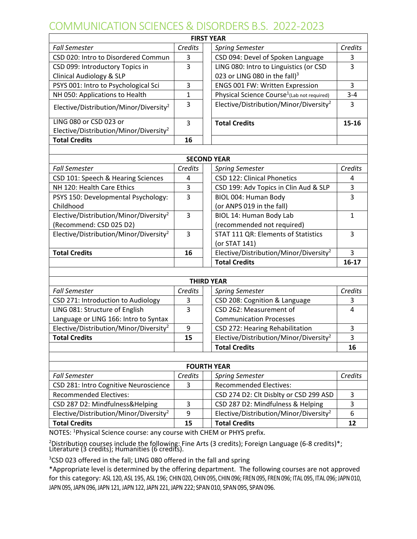## COMMUNICATION SCIENCES & DISORDERS B.S. 2022-2023

| <b>FIRST YEAR</b>                                  |              |  |                                                         |              |
|----------------------------------------------------|--------------|--|---------------------------------------------------------|--------------|
| <b>Fall Semester</b>                               | Credits      |  | <b>Spring Semester</b>                                  | Credits      |
| CSD 020: Intro to Disordered Commun                | 3            |  | CSD 094: Devel of Spoken Language                       | 3            |
| CSD 099: Introductory Topics in                    | 3            |  | LING 080: Intro to Linguistics (or CSD                  | 3            |
| <b>Clinical Audiology &amp; SLP</b>                |              |  | 023 or LING 080 in the fall) $3$                        |              |
| PSYS 001: Intro to Psychological Sci               | 3            |  | ENGS 001 FW: Written Expression                         | 3            |
| NH 050: Applications to Health                     | $\mathbf{1}$ |  | Physical Science Course <sup>1</sup> (Lab not required) | $3 - 4$      |
| Elective/Distribution/Minor/Diversity <sup>2</sup> | 3            |  | Elective/Distribution/Minor/Diversity <sup>2</sup>      | 3            |
| LING 080 or CSD 023 or                             | 3            |  | <b>Total Credits</b>                                    | 15-16        |
| Elective/Distribution/Minor/Diversity <sup>2</sup> |              |  |                                                         |              |
| <b>Total Credits</b>                               | 16           |  |                                                         |              |
|                                                    |              |  |                                                         |              |
| <b>SECOND YEAR</b>                                 |              |  |                                                         |              |
| <b>Fall Semester</b>                               | Credits      |  | <b>Spring Semester</b>                                  | Credits      |
| CSD 101: Speech & Hearing Sciences                 | 4            |  | <b>CSD 122: Clinical Phonetics</b>                      | 4            |
| NH 120: Health Care Ethics                         | 3            |  | CSD 199: Adv Topics in Clin Aud & SLP                   | 3            |
| PSYS 150: Developmental Psychology:                | 3            |  | BIOL 004: Human Body                                    | 3            |
| Childhood                                          |              |  | (or ANPS 019 in the fall)                               |              |
| Elective/Distribution/Minor/Diversity <sup>2</sup> | 3            |  | BIOL 14: Human Body Lab                                 | $\mathbf{1}$ |
| (Recommend: CSD 025 D2)                            |              |  | (recommended not required)                              |              |
| Elective/Distribution/Minor/Diversity <sup>2</sup> | 3            |  | STAT 111 QR: Elements of Statistics                     | 3            |
|                                                    |              |  | (or STAT 141)                                           |              |
| <b>Total Credits</b>                               | 16           |  | Elective/Distribution/Minor/Diversity <sup>2</sup>      | 3            |
|                                                    |              |  | <b>Total Credits</b>                                    | $16-17$      |
|                                                    |              |  |                                                         |              |
| <b>THIRD YEAR</b>                                  |              |  |                                                         |              |
| <b>Fall Semester</b>                               | Credits      |  | <b>Spring Semester</b>                                  | Credits      |
| CSD 271: Introduction to Audiology                 | 3            |  | CSD 208: Cognition & Language                           | 3            |
| LING 081: Structure of English                     | 3            |  | CSD 262: Measurement of                                 | 4            |
| Language or LING 166: Intro to Syntax              |              |  | <b>Communication Processes</b>                          |              |
| Elective/Distribution/Minor/Diversity <sup>2</sup> | 9            |  | CSD 272: Hearing Rehabilitation                         | 3            |
| <b>Total Credits</b>                               | 15           |  | Elective/Distribution/Minor/Diversity <sup>2</sup>      | 3            |
|                                                    |              |  | <b>Total Credits</b>                                    | 16           |
|                                                    |              |  |                                                         |              |
| <b>FOURTH YEAR</b>                                 |              |  |                                                         |              |
| <b>Fall Semester</b>                               | Credits      |  | <b>Spring Semester</b>                                  | Credits      |
| CSD 281: Intro Cognitive Neuroscience              | 3            |  | <b>Recommended Electives:</b>                           |              |
| <b>Recommended Electives:</b>                      |              |  | CSD 274 D2: Clt Disblty or CSD 299 ASD                  | 3            |
| CSD 287 D2: Mindfulness&Helping                    | 3            |  | CSD 287 D2: Mindfulness & Helping                       | 3            |
| Elective/Distribution/Minor/Diversity <sup>2</sup> | 9            |  | Elective/Distribution/Minor/Diversity <sup>2</sup>      | 6            |
| <b>Total Credits</b>                               | 15           |  | <b>Total Credits</b>                                    | 12           |

NOTES: <sup>1</sup>Physical Science course: any course with CHEM or PHYS prefix.

<sup>2</sup> Distribution courses include the following: Fine Arts (3 credits); Foreign Language (6-8 credits)\*; Literature (3 credits); Humanities (6 credits).

<sup>3</sup>CSD 023 offered in the fall; LING 080 offered in the fall and spring

\*Appropriate level is determined by the offering department. The following courses are not approved for this category: ASL 120, ASL 195, ASL 196; CHIN 020, CHIN 095, CHIN 096; FREN 095, FREN 096; ITAL 095, ITAL 096; JAPN 010, JAPN 095, JAPN 096, JAPN 121, JAPN 122, JAPN 221, JAPN 222; SPAN 010, SPAN 095, SPAN 096.